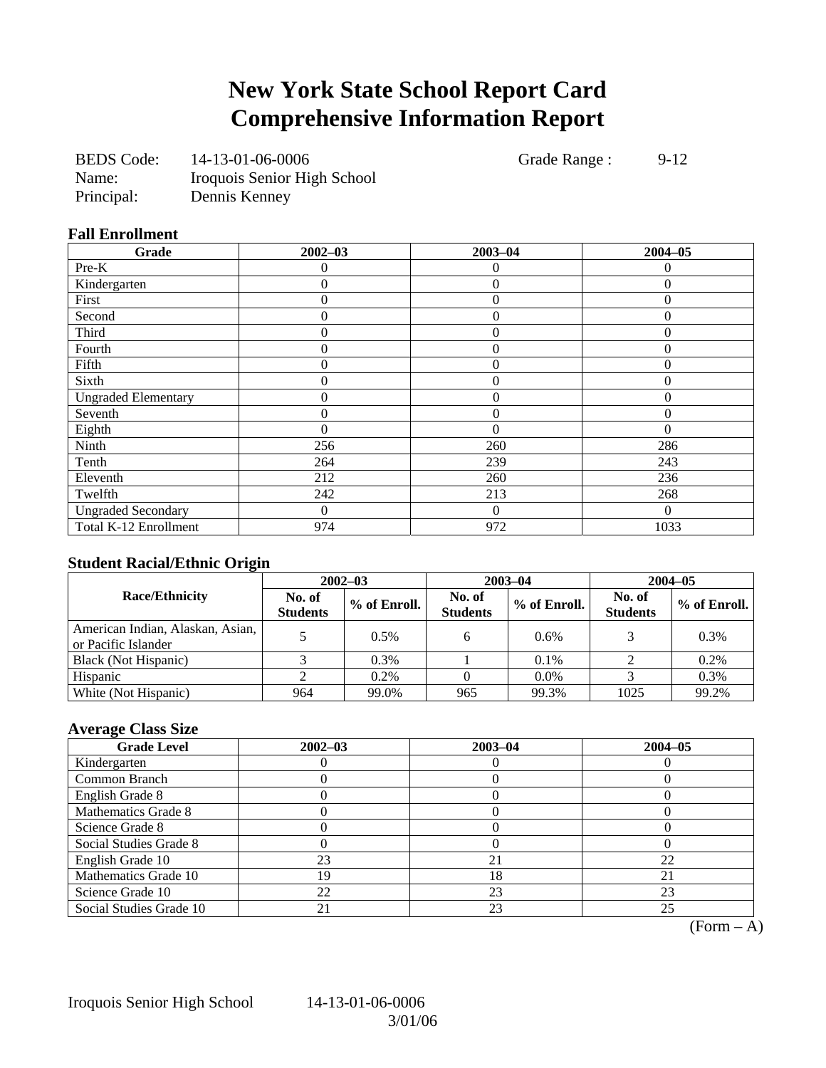# **New York State School Report Card Comprehensive Information Report**

| <b>BEDS</b> Code: | 14-13-01-06-0006            |
|-------------------|-----------------------------|
| Name:             | Iroquois Senior High School |
| Principal:        | Dennis Kenney               |

Grade Range : 9-12

### **Fall Enrollment**

| Grade                      | $2002 - 03$      | $2003 - 04$    | $2004 - 05$ |
|----------------------------|------------------|----------------|-------------|
| Pre-K                      | 0                | $\theta$       | 0           |
| Kindergarten               | 0                | $\overline{0}$ | $\theta$    |
| First                      | 0                | $\overline{0}$ | $\Omega$    |
| Second                     | 0                | $\overline{0}$ | $\Omega$    |
| Third                      | 0                | $\overline{0}$ | $\Omega$    |
| Fourth                     | 0                | $\overline{0}$ | $\Omega$    |
| Fifth                      | $\boldsymbol{0}$ | $\overline{0}$ | $\Omega$    |
| Sixth                      | 0                | $\theta$       | $\theta$    |
| <b>Ungraded Elementary</b> | 0                | $\theta$       | $\theta$    |
| Seventh                    | 0                | $\overline{0}$ | $\theta$    |
| Eighth                     | 0                | $\theta$       | $\Omega$    |
| Ninth                      | 256              | 260            | 286         |
| Tenth                      | 264              | 239            | 243         |
| Eleventh                   | 212              | 260            | 236         |
| Twelfth                    | 242              | 213            | 268         |
| <b>Ungraded Secondary</b>  | 0                | $\theta$       | $\theta$    |
| Total K-12 Enrollment      | 974              | 972            | 1033        |

### **Student Racial/Ethnic Origin**

|                                                         | $2002 - 03$               |              |                           | $2003 - 04$  | $2004 - 05$               |              |  |
|---------------------------------------------------------|---------------------------|--------------|---------------------------|--------------|---------------------------|--------------|--|
| <b>Race/Ethnicity</b>                                   | No. of<br><b>Students</b> | % of Enroll. | No. of<br><b>Students</b> | % of Enroll. | No. of<br><b>Students</b> | % of Enroll. |  |
| American Indian, Alaskan, Asian,<br>or Pacific Islander |                           | 0.5%         | h                         | 0.6%         |                           | 0.3%         |  |
| Black (Not Hispanic)                                    |                           | $0.3\%$      |                           | $0.1\%$      |                           | 0.2%         |  |
| Hispanic                                                |                           | $0.2\%$      |                           | 0.0%         |                           | 0.3%         |  |
| White (Not Hispanic)                                    | 964                       | 99.0%        | 965                       | 99.3%        | 1025                      | 99.2%        |  |

### **Average Class Size**

| <b>Grade Level</b>      | $2002 - 03$ | $2003 - 04$ | $2004 - 05$ |
|-------------------------|-------------|-------------|-------------|
| Kindergarten            |             |             |             |
| Common Branch           |             |             |             |
| English Grade 8         |             |             |             |
| Mathematics Grade 8     |             |             |             |
| Science Grade 8         |             |             |             |
| Social Studies Grade 8  |             |             |             |
| English Grade 10        | 23          | 21          | 22          |
| Mathematics Grade 10    | 19          | 18          |             |
| Science Grade 10        | 22          | 23          | 23          |
| Social Studies Grade 10 |             | 23          | 25          |

 $(Form - A)$ 

Iroquois Senior High School 14-13-01-06-0006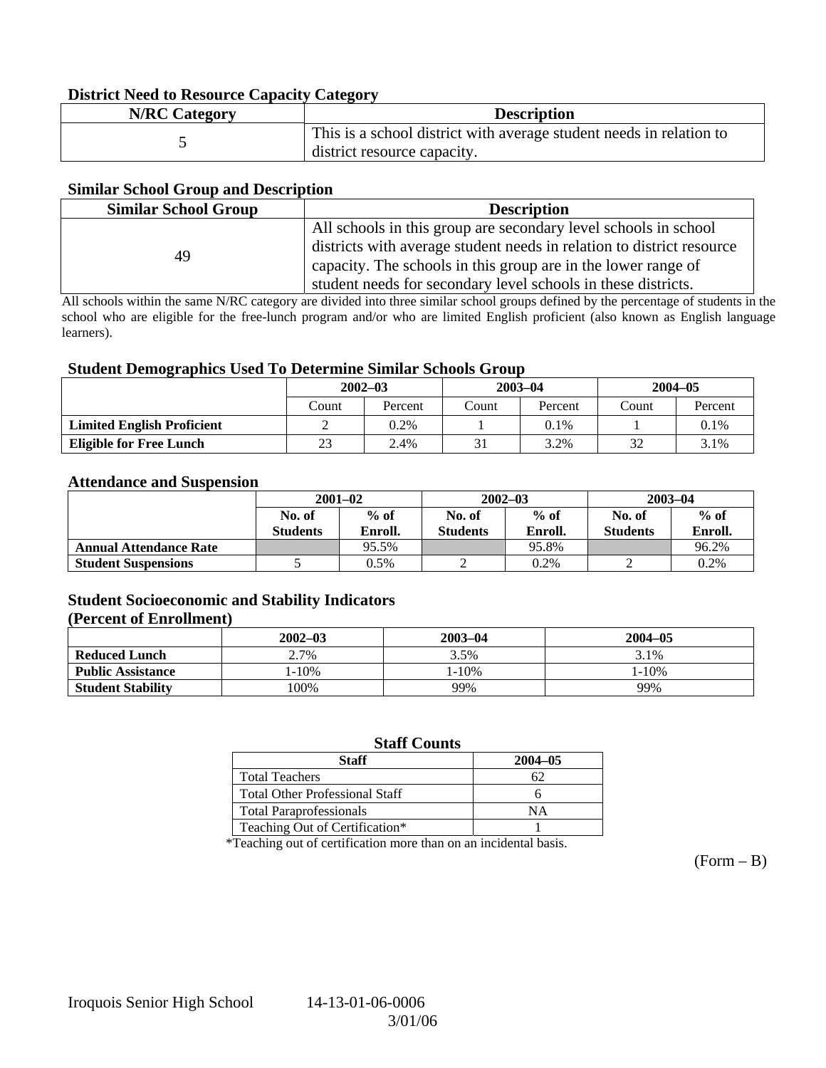### **District Need to Resource Capacity Category**

| <b>N/RC Category</b> | <b>Description</b>                                                                                 |
|----------------------|----------------------------------------------------------------------------------------------------|
|                      | This is a school district with average student needs in relation to<br>district resource capacity. |

### **Similar School Group and Description**

| <b>Similar School Group</b> | <b>Description</b>                                                                                                                                                                                                                                                         |
|-----------------------------|----------------------------------------------------------------------------------------------------------------------------------------------------------------------------------------------------------------------------------------------------------------------------|
| 49                          | All schools in this group are secondary level schools in school<br>districts with average student needs in relation to district resource<br>capacity. The schools in this group are in the lower range of<br>student needs for secondary level schools in these districts. |

All schools within the same N/RC category are divided into three similar school groups defined by the percentage of students in the school who are eligible for the free-lunch program and/or who are limited English proficient (also known as English language learners).

### **Student Demographics Used To Determine Similar Schools Group**

| ີ                                 | $2002 - 03$ |         | $2003 - 04$ |         | $2004 - 05$ |         |
|-----------------------------------|-------------|---------|-------------|---------|-------------|---------|
|                                   | Count       | Percent | Count       | Percent | Count       | Percent |
| <b>Limited English Proficient</b> | ↩           | 0.2%    |             | 0.1%    |             | 0.1%    |
| <b>Eligible for Free Lunch</b>    | 23<br>2.4%  |         |             | 3.2%    | 32          | 3.1%    |

#### **Attendance and Suspension**

|                               | $2001 - 02$               |                   |                           | $2002 - 03$       | $2003 - 04$               |                   |
|-------------------------------|---------------------------|-------------------|---------------------------|-------------------|---------------------------|-------------------|
|                               | No. of<br><b>Students</b> | $%$ of<br>Enroll. | No. of<br><b>Students</b> | $%$ of<br>Enroll. | No. of<br><b>Students</b> | $%$ of<br>Enroll. |
| <b>Annual Attendance Rate</b> |                           | 95.5%             |                           | 95.8%             |                           | 96.2%             |
| <b>Student Suspensions</b>    |                           | 0.5%              |                           | 0.2%              |                           | 0.2%              |

### **Student Socioeconomic and Stability Indicators**

### **(Percent of Enrollment)**

|                          | $2002 - 03$ | $2003 - 04$ | $2004 - 05$ |
|--------------------------|-------------|-------------|-------------|
| <b>Reduced Lunch</b>     | 2.7%        | 3.5%        | 3.1%        |
| <b>Public Assistance</b> | $1 - 10\%$  | 1-10%       | $1 - 10\%$  |
| <b>Student Stability</b> | $100\%$     | 99%         | 99%         |

### **Staff Counts**

| Staff                                 | $2004 - 05$ |
|---------------------------------------|-------------|
| <b>Total Teachers</b>                 |             |
| <b>Total Other Professional Staff</b> |             |
| <b>Total Paraprofessionals</b>        | NΑ          |
| Teaching Out of Certification*        |             |

\*Teaching out of certification more than on an incidental basis.

 $(Form - B)$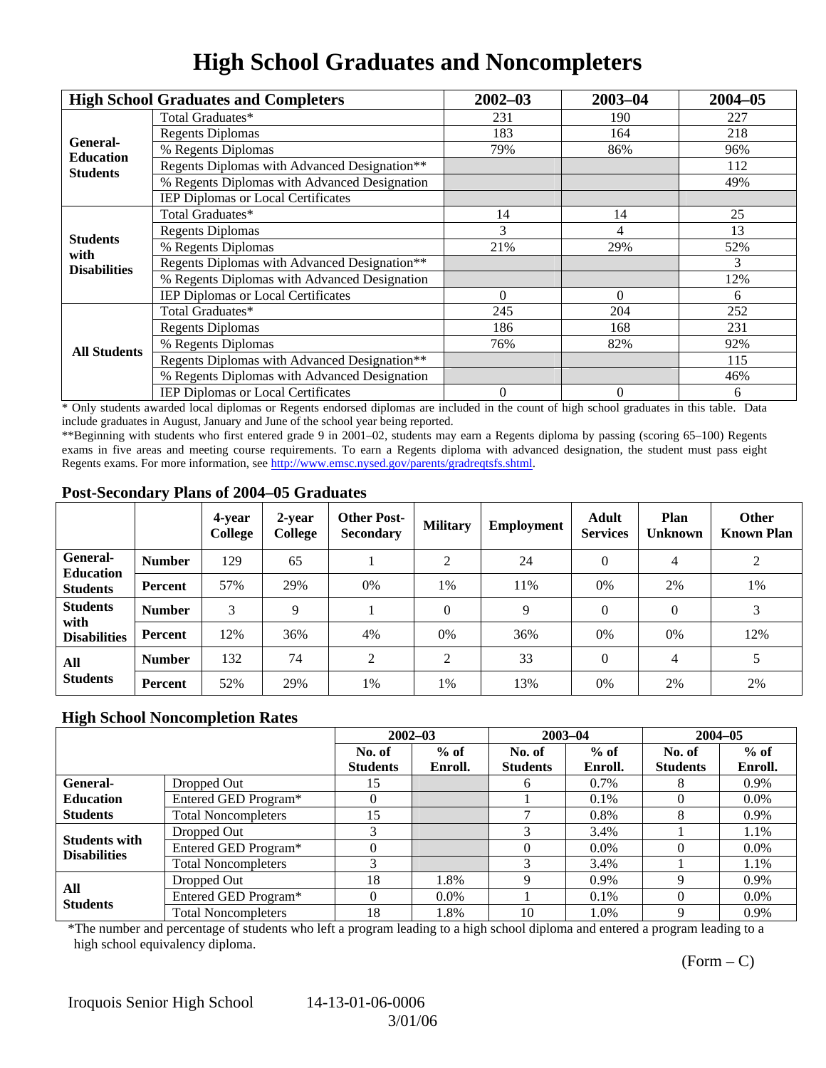## **High School Graduates and Noncompleters**

|                              | <b>High School Graduates and Completers</b>  | $2002 - 03$    | $2003 - 04$    | $2004 - 05$ |
|------------------------------|----------------------------------------------|----------------|----------------|-------------|
|                              | Total Graduates*                             | 231            | 190            | 227         |
|                              | <b>Regents Diplomas</b>                      | 183            | 164            | 218         |
| General-<br><b>Education</b> | % Regents Diplomas                           | 79%            | 86%            | 96%         |
| <b>Students</b>              | Regents Diplomas with Advanced Designation** |                |                | 112         |
|                              | % Regents Diplomas with Advanced Designation |                |                | 49%         |
|                              | IEP Diplomas or Local Certificates           |                |                |             |
|                              | Total Graduates*                             | 14             | 14             | 25          |
|                              | <b>Regents Diplomas</b>                      | 3              | 4              | 13          |
| <b>Students</b><br>with      | % Regents Diplomas                           | 21%            | 29%            | 52%         |
| <b>Disabilities</b>          | Regents Diplomas with Advanced Designation** |                |                | 3           |
|                              | % Regents Diplomas with Advanced Designation |                |                | 12%         |
|                              | IEP Diplomas or Local Certificates           | $\Omega$       | $\Omega$       | 6           |
|                              | Total Graduates*                             | 245            | 204            | 252         |
|                              | <b>Regents Diplomas</b>                      | 186            | 168            | 231         |
| <b>All Students</b>          | % Regents Diplomas                           | 76%            | 82%            | 92%         |
|                              | Regents Diplomas with Advanced Designation** |                |                | 115         |
|                              | % Regents Diplomas with Advanced Designation |                |                | 46%         |
|                              | <b>IEP Diplomas or Local Certificates</b>    | $\overline{0}$ | $\overline{0}$ | 6           |

\* Only students awarded local diplomas or Regents endorsed diplomas are included in the count of high school graduates in this table. Data include graduates in August, January and June of the school year being reported.

\*\*Beginning with students who first entered grade 9 in 2001–02, students may earn a Regents diploma by passing (scoring 65–100) Regents exams in five areas and meeting course requirements. To earn a Regents diploma with advanced designation, the student must pass eight Regents exams. For more information, see http://www.emsc.nysed.gov/parents/gradreqtsfs.shtml.

### **Post-Secondary Plans of 2004–05 Graduates**

|                                     |                | 4-year<br>College | 2-year<br>College | <b>Other Post-</b><br><b>Secondary</b> | <b>Military</b> | <b>Employment</b> | <b>Adult</b><br><b>Services</b> | Plan<br><b>Unknown</b> | <b>Other</b><br><b>Known Plan</b> |
|-------------------------------------|----------------|-------------------|-------------------|----------------------------------------|-----------------|-------------------|---------------------------------|------------------------|-----------------------------------|
| <b>General-</b>                     | <b>Number</b>  | 129               | 65                |                                        | ↑               | 24                | $\Omega$                        | 4                      | $\overline{2}$                    |
| <b>Education</b><br><b>Students</b> | Percent        | 57%               | 29%               | 0%                                     | 1%              | 11%               | 0%                              | 2%                     | 1%                                |
| <b>Students</b><br>with             | <b>Number</b>  | 3                 | $\mathbf Q$       |                                        | $\overline{0}$  | 9                 | $\Omega$                        | $\Omega$               | 3                                 |
| <b>Disabilities</b>                 | Percent        | 12%               | 36%               | 4%                                     | 0%              | 36%               | 0%                              | 0%                     | 12%                               |
| All                                 | <b>Number</b>  | 132               | 74                | 2                                      | 2               | 33                | $\Omega$                        | $\overline{4}$         | 5                                 |
| <b>Students</b>                     | <b>Percent</b> | 52%               | 29%               | 1%                                     | 1%              | 13%               | 0%                              | 2%                     | 2%                                |

#### **High School Noncompletion Rates**

|                        |                            | $2002 - 03$     |         | $2003 - 04$     |         | $2004 - 05$     |         |
|------------------------|----------------------------|-----------------|---------|-----------------|---------|-----------------|---------|
|                        |                            | No. of          | $%$ of  | No. of          | $%$ of  | No. of          | $%$ of  |
|                        |                            | <b>Students</b> | Enroll. | <b>Students</b> | Enroll. | <b>Students</b> | Enroll. |
| General-               | Dropped Out                | 15              |         | h               | 0.7%    |                 | 0.9%    |
| <b>Education</b>       | Entered GED Program*       |                 |         |                 | 0.1%    |                 | $0.0\%$ |
| <b>Students</b>        | <b>Total Noncompleters</b> | 15              |         |                 | 0.8%    |                 | 0.9%    |
| <b>Students with</b>   | Dropped Out                |                 |         |                 | 3.4%    |                 | 1.1%    |
| <b>Disabilities</b>    | Entered GED Program*       |                 |         |                 | $0.0\%$ |                 | $0.0\%$ |
|                        | <b>Total Noncompleters</b> |                 |         |                 | 3.4%    |                 | 1.1%    |
|                        | Dropped Out                | 18              | 1.8%    |                 | $0.9\%$ |                 | $0.9\%$ |
| All<br><b>Students</b> | Entered GED Program*       | 0               | $0.0\%$ |                 | 0.1%    |                 | $0.0\%$ |
|                        | <b>Total Noncompleters</b> | 18              | 1.8%    | 10              | 1.0%    |                 | 0.9%    |

\*The number and percentage of students who left a program leading to a high school diploma and entered a program leading to a high school equivalency diploma.

 $(Form - C)$ 

Iroquois Senior High School 14-13-01-06-0006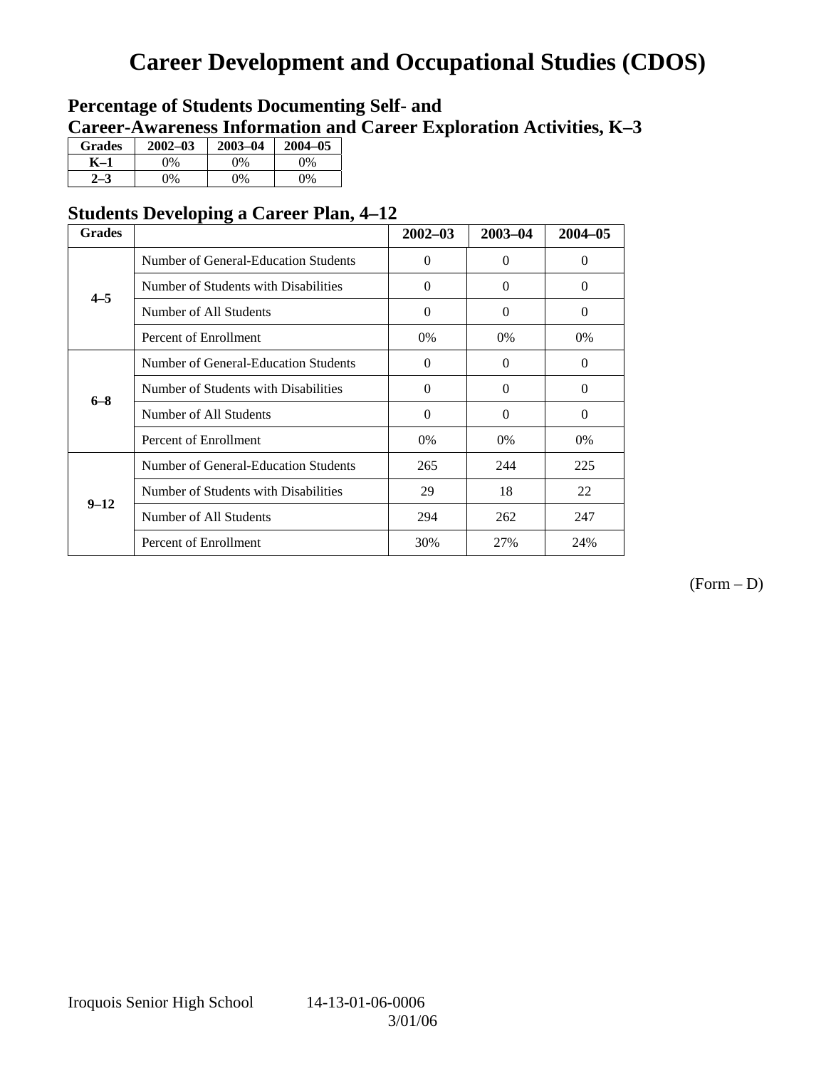# **Career Development and Occupational Studies (CDOS)**

### **Percentage of Students Documenting Self- and Career-Awareness Information and Career Exploration Activities, K–3**

| <b>Grades</b> | $2002 - 03$ | $2003 - 04$ | $2004 - 05$ |
|---------------|-------------|-------------|-------------|
| K–1           | 9%          | $0\%$       | 0%          |
| $2 - 3$       | 9%          | 0%          | 0%          |

### **Students Developing a Career Plan, 4–12**

| <b>Grades</b> |                                      | $2002 - 03$ | $2003 - 04$ | $2004 - 05$ |
|---------------|--------------------------------------|-------------|-------------|-------------|
|               | Number of General-Education Students | $\Omega$    | $\Omega$    | $\Omega$    |
| $4 - 5$       | Number of Students with Disabilities | $\Omega$    | $\Omega$    | $\Omega$    |
|               | Number of All Students               | $\Omega$    | $\Omega$    | $\Omega$    |
|               | Percent of Enrollment                | $0\%$       | $0\%$       | $0\%$       |
|               | Number of General-Education Students | $\Omega$    | $\theta$    | $\theta$    |
| $6 - 8$       | Number of Students with Disabilities | $\Omega$    | $\Omega$    | $\Omega$    |
|               | Number of All Students               | $\Omega$    | $\Omega$    | $\Omega$    |
|               | Percent of Enrollment                | $0\%$       | $0\%$       | $0\%$       |
|               | Number of General-Education Students | 265         | 244         | 225         |
| $9 - 12$      | Number of Students with Disabilities | 29          | 18          | 22          |
|               | Number of All Students               | 294         | 262         | 247         |
|               | Percent of Enrollment                | 30%         | 27%         | 24%         |

(Form – D)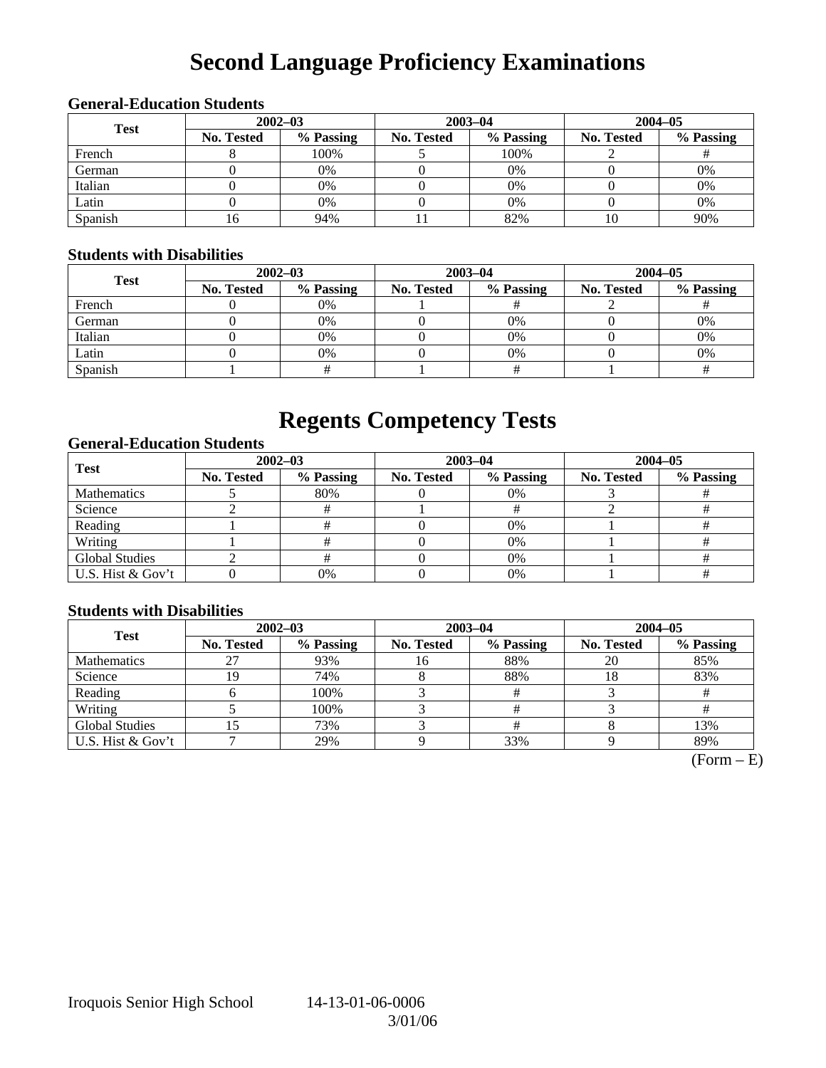# **Second Language Proficiency Examinations**

| <b>General-Education Students</b> |                   |             |                   |           |                   |           |  |  |  |
|-----------------------------------|-------------------|-------------|-------------------|-----------|-------------------|-----------|--|--|--|
| <b>Test</b>                       |                   | $2002 - 03$ | 2003-04           |           | $2004 - 05$       |           |  |  |  |
|                                   | <b>No. Tested</b> | % Passing   | <b>No. Tested</b> | % Passing | <b>No. Tested</b> | % Passing |  |  |  |
| French                            |                   | 100%        |                   | 100%      |                   |           |  |  |  |
| German                            |                   | 0%          |                   | 0%        |                   | 0%        |  |  |  |

### **General-Education Students**

### **Students with Disabilities**

| <b>Test</b> |                   | $2002 - 03$ |            | $2003 - 04$ | $2004 - 05$       |           |  |  |  |
|-------------|-------------------|-------------|------------|-------------|-------------------|-----------|--|--|--|
|             | <b>No. Tested</b> | % Passing   | No. Tested | % Passing   | <b>No. Tested</b> | % Passing |  |  |  |
| French      |                   | 0%          |            |             |                   |           |  |  |  |
| German      |                   | 0%          |            | $0\%$       |                   | 0%        |  |  |  |
| Italian     |                   | 0%          |            | $0\%$       |                   | 0%        |  |  |  |
| Latin       |                   | 0%          |            | $0\%$       |                   | 0%        |  |  |  |
| Spanish     |                   |             |            |             |                   |           |  |  |  |

Italian ( 0 0% 0 0% 0 0% 0 0% 0 0% Latin 0 0% 0 0% 0 0% Spanish 16 94% 11 82% 10 90%

## **Regents Competency Tests**

### **General-Education Students**

| <b>Test</b>           | $2002 - 03$ |           |            | $2003 - 04$ | $2004 - 05$ |           |  |
|-----------------------|-------------|-----------|------------|-------------|-------------|-----------|--|
|                       | No. Tested  | % Passing | No. Tested | % Passing   | No. Tested  | % Passing |  |
| <b>Mathematics</b>    |             | 80%       |            | $0\%$       |             |           |  |
| Science               |             |           |            |             |             |           |  |
| Reading               |             |           |            | 0%          |             |           |  |
| Writing               |             |           |            | 0%          |             |           |  |
| <b>Global Studies</b> |             |           |            | 0%          |             |           |  |
| U.S. Hist & Gov't     |             | 0%        |            | 0%          |             |           |  |

### **Students with Disabilities**

| <b>Test</b>           | $2002 - 03$ |           | $2003 - 04$ |           | $2004 - 05$ |           |  |
|-----------------------|-------------|-----------|-------------|-----------|-------------|-----------|--|
|                       | No. Tested  | % Passing | No. Tested  | % Passing | No. Tested  | % Passing |  |
| <b>Mathematics</b>    |             | 93%       | 16          | 88%       | 20          | 85%       |  |
| Science               |             | 74%       |             | 88%       |             | 83%       |  |
| Reading               |             | 100%      |             |           |             |           |  |
| Writing               |             | 100%      |             |           |             |           |  |
| <b>Global Studies</b> |             | 73%       |             |           |             | 13%       |  |
| U.S. Hist & Gov't     |             | 29%       |             | 33%       |             | 89%       |  |

 $(Form - E)$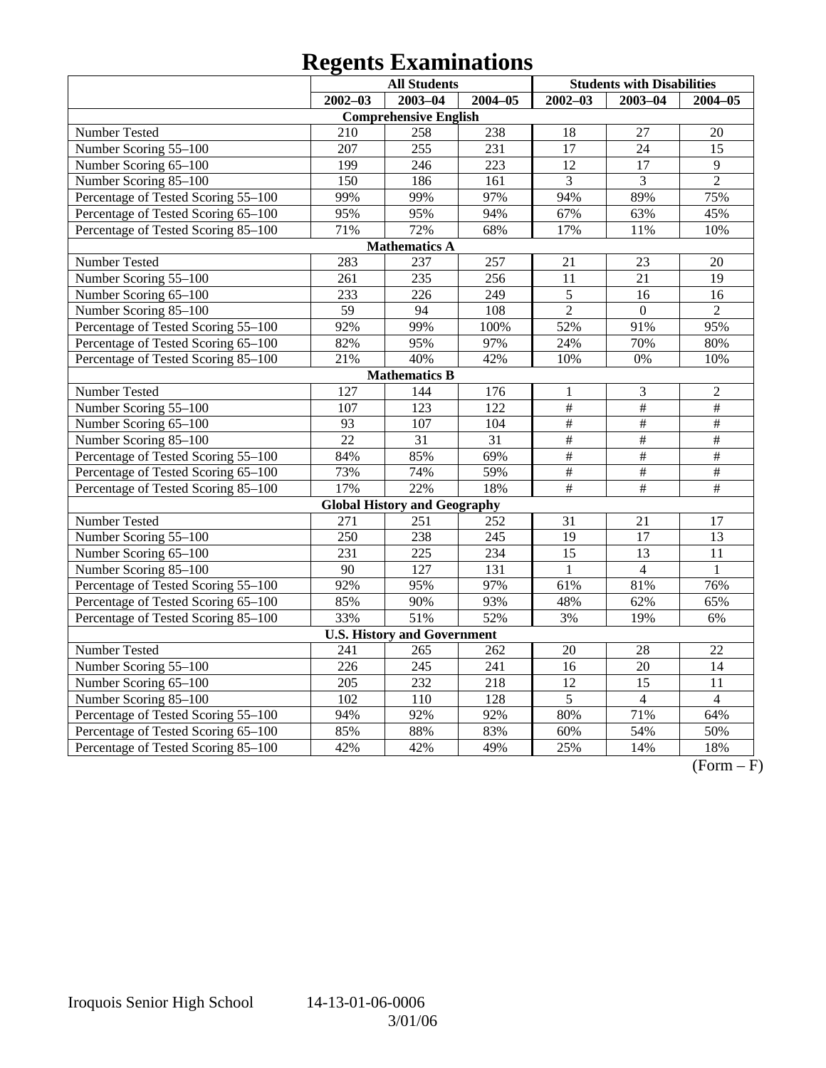# **Regents Examinations**

|                                     |                  | <b>All Students</b>                 |                  | <b>Students with Disabilities</b> |                 |                 |  |
|-------------------------------------|------------------|-------------------------------------|------------------|-----------------------------------|-----------------|-----------------|--|
|                                     | $2002 - 03$      | $2003 - 04$                         | $2004 - 05$      | $2002 - 03$                       | $2003 - 04$     | $2004 - 05$     |  |
|                                     |                  | <b>Comprehensive English</b>        |                  |                                   |                 |                 |  |
| Number Tested                       | 210              | 258                                 | 238              | 18                                | 27              | 20              |  |
| Number Scoring 55-100               | 207              | $\overline{255}$                    | 231              | 17                                | 24              | 15              |  |
| Number Scoring 65-100               | 199              | 246                                 | 223              | $\overline{12}$                   | 17              | $\overline{9}$  |  |
| Number Scoring 85-100               | 150              | 186                                 | 161              | 3                                 | 3               | $\overline{2}$  |  |
| Percentage of Tested Scoring 55-100 | 99%              | 99%                                 | 97%              | 94%                               | 89%             | 75%             |  |
| Percentage of Tested Scoring 65-100 | 95%              | 95%                                 | 94%              | 67%                               | 63%             | 45%             |  |
| Percentage of Tested Scoring 85-100 | 71%              | 72%                                 | 68%              | 17%                               | 11%             | 10%             |  |
|                                     |                  | <b>Mathematics A</b>                |                  |                                   |                 |                 |  |
| Number Tested                       | 283              | 237                                 | 257              | 21                                | 23              | 20              |  |
| Number Scoring 55-100               | 261              | 235                                 | 256              | 11                                | 21              | 19              |  |
| Number Scoring 65-100               | 233              | 226                                 | 249              | 5                                 | 16              | 16              |  |
| Number Scoring 85-100               | 59               | 94                                  | 108              | $\overline{2}$                    | $\overline{0}$  | $\overline{2}$  |  |
| Percentage of Tested Scoring 55-100 | 92%              | 99%                                 | 100%             | 52%                               | 91%             | 95%             |  |
| Percentage of Tested Scoring 65-100 | 82%              | 95%                                 | 97%              | 24%                               | 70%             | 80%             |  |
| Percentage of Tested Scoring 85-100 | 21%              | 40%                                 | 42%              | 10%                               | 0%              | 10%             |  |
|                                     |                  | <b>Mathematics B</b>                |                  |                                   |                 |                 |  |
| Number Tested                       | 127              | 144                                 | 176              | $\mathbf{1}$                      | $\mathfrak{Z}$  | $\overline{2}$  |  |
| Number Scoring 55-100               | 107              | $\overline{123}$                    | $\overline{122}$ | #                                 | #               | $\overline{\#}$ |  |
| Number Scoring 65-100               | 93               | 107                                 | 104              | $\overline{\#}$                   | $\overline{\#}$ | $\overline{\#}$ |  |
| Number Scoring 85-100               | $\overline{22}$  | $\overline{31}$                     | $\overline{31}$  | $\overline{\#}$                   | $\frac{1}{2}$   | $\overline{\#}$ |  |
| Percentage of Tested Scoring 55-100 | 84%              | 85%                                 | 69%              | $\overline{\#}$                   | $\#$            | $\#$            |  |
| Percentage of Tested Scoring 65-100 | 73%              | 74%                                 | 59%              | $\#$                              | $\#$            | $\#$            |  |
| Percentage of Tested Scoring 85-100 | 17%              | 22%                                 | 18%              | $\#$                              | $\#$            | $\#$            |  |
|                                     |                  | <b>Global History and Geography</b> |                  |                                   |                 |                 |  |
| Number Tested                       | 271              | 251                                 | 252              | 31                                | 21              | 17              |  |
| Number Scoring 55-100               | $\overline{250}$ | 238                                 | 245              | 19                                | 17              | 13              |  |
| Number Scoring 65-100               | 231              | 225                                 | 234              | 15                                | 13              | 11              |  |
| Number Scoring 85-100               | 90               | 127                                 | 131              | $\mathbf{1}$                      | $\overline{4}$  | $\mathbf{1}$    |  |
| Percentage of Tested Scoring 55-100 | 92%              | 95%                                 | 97%              | 61%                               | 81%             | 76%             |  |
| Percentage of Tested Scoring 65-100 | 85%              | 90%                                 | 93%              | 48%                               | 62%             | 65%             |  |
| Percentage of Tested Scoring 85-100 | 33%              | 51%                                 | 52%              | 3%                                | 19%             | 6%              |  |
|                                     |                  | <b>U.S. History and Government</b>  |                  |                                   |                 |                 |  |
| Number Tested                       | 241              | 265                                 | 262              | 20                                | 28              | 22              |  |
| Number Scoring 55-100               | 226              | 245                                 | 241              | 16                                | 20              | 14              |  |
| Number Scoring 65-100               | 205              | 232                                 | 218              | 12                                | 15              | 11              |  |
| Number Scoring 85-100               | $\overline{102}$ | 110                                 | 128              | 5                                 | $\overline{4}$  | $\overline{4}$  |  |
| Percentage of Tested Scoring 55-100 | 94%              | 92%                                 | 92%              | 80%                               | 71%             | 64%             |  |
| Percentage of Tested Scoring 65-100 | 85%              | 88%                                 | 83%              | 60%                               | 54%             | 50%             |  |
| Percentage of Tested Scoring 85-100 | 42%              | 42%                                 | 49%              | 25%                               | 14%             | 18%             |  |

 $\overline{(Form - F)}$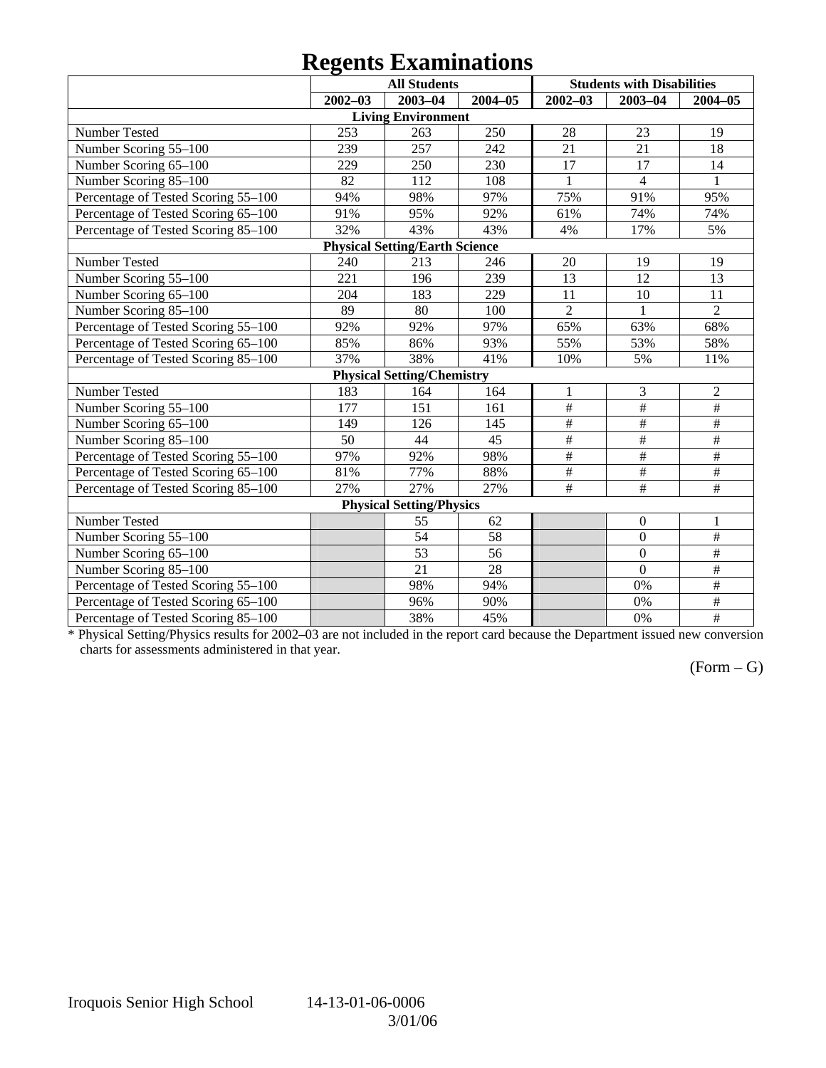## **Regents Examinations**

|                                     | o<br><b>All Students</b> |                                       |             | <b>Students with Disabilities</b> |                           |                         |  |  |
|-------------------------------------|--------------------------|---------------------------------------|-------------|-----------------------------------|---------------------------|-------------------------|--|--|
|                                     | $2002 - 03$              | 2003-04                               | $2004 - 05$ | $2002 - 03$                       | $2003 - 04$               | $2004 - 05$             |  |  |
|                                     |                          | <b>Living Environment</b>             |             |                                   |                           |                         |  |  |
| Number Tested                       | 253                      | 263                                   | 250         | 28                                | 23                        | 19                      |  |  |
| Number Scoring 55-100               | 239                      | 257                                   | 242         | 21                                | 21                        | 18                      |  |  |
| Number Scoring 65-100               | 229                      | 250                                   | 230         | 17                                | 17                        | 14                      |  |  |
| Number Scoring 85-100               | 82                       | 112                                   | 108         | $\mathbf{1}$                      | $\overline{4}$            | $\mathbf{1}$            |  |  |
| Percentage of Tested Scoring 55-100 | 94%                      | 98%                                   | 97%         | 75%                               | 91%                       | 95%                     |  |  |
| Percentage of Tested Scoring 65-100 | 91%                      | 95%                                   | 92%         | 61%                               | 74%                       | 74%                     |  |  |
| Percentage of Tested Scoring 85-100 | 32%                      | 43%                                   | 43%         | 4%                                | 17%                       | 5%                      |  |  |
|                                     |                          | <b>Physical Setting/Earth Science</b> |             |                                   |                           |                         |  |  |
| Number Tested                       | 240                      | 213                                   | 246         | 20                                | 19                        | 19                      |  |  |
| Number Scoring 55-100               | 221                      | 196                                   | 239         | 13                                | 12                        | 13                      |  |  |
| Number Scoring 65-100               | 204                      | 183                                   | 229         | 11                                | 10                        | 11                      |  |  |
| Number Scoring 85-100               | 89                       | 80                                    | 100         | $\overline{2}$                    | $\mathbf{1}$              | $\overline{2}$          |  |  |
| Percentage of Tested Scoring 55-100 | 92%                      | 92%                                   | 97%         | 65%                               | 63%                       | 68%                     |  |  |
| Percentage of Tested Scoring 65-100 | 85%                      | 86%                                   | 93%         | 55%                               | 53%                       | 58%                     |  |  |
| Percentage of Tested Scoring 85-100 | 37%                      | 38%                                   | 41%         | 10%                               | 5%                        | 11%                     |  |  |
|                                     |                          | <b>Physical Setting/Chemistry</b>     |             |                                   |                           |                         |  |  |
| Number Tested                       | 183                      | 164                                   | 164         | $\mathbf{1}$                      | 3                         | $\overline{2}$          |  |  |
| Number Scoring 55-100               | $\overline{177}$         | 151                                   | 161         | $\overline{\#}$                   | $\#$                      | $\overline{\#}$         |  |  |
| Number Scoring 65-100               | 149                      | 126                                   | 145         | $\overline{\#}$                   | #                         | $\#$                    |  |  |
| Number Scoring 85-100               | 50                       | 44                                    | 45          | $\overline{\#}$                   | $\overline{\#}$           | $\overline{\#}$         |  |  |
| Percentage of Tested Scoring 55-100 | 97%                      | 92%                                   | 98%         | #                                 | $\#$                      | #                       |  |  |
| Percentage of Tested Scoring 65-100 | 81%                      | 77%                                   | 88%         | $\#$                              | $\#$                      | $\#$                    |  |  |
| Percentage of Tested Scoring 85-100 | 27%                      | 27%                                   | 27%         | $\overline{t}$                    | $\overline{\overline{t}}$ | $\overline{\#}$         |  |  |
| <b>Physical Setting/Physics</b>     |                          |                                       |             |                                   |                           |                         |  |  |
| Number Tested                       |                          | 55                                    | 62          |                                   | $\boldsymbol{0}$          | $\mathbf{1}$            |  |  |
| Number Scoring 55-100               |                          | 54                                    | 58          |                                   | $\mathbf{0}$              | $\overline{\#}$         |  |  |
| Number Scoring 65-100               |                          | 53                                    | 56          |                                   | $\overline{0}$            | $\overline{\ddot{\pi}}$ |  |  |
| Number Scoring 85-100               |                          | 21                                    | 28          |                                   | $\mathbf{0}$              | $\#$                    |  |  |
| Percentage of Tested Scoring 55-100 |                          | 98%                                   | 94%         |                                   | 0%                        | $\overline{\#}$         |  |  |
| Percentage of Tested Scoring 65-100 |                          | 96%                                   | 90%         |                                   | 0%                        | #                       |  |  |
| Percentage of Tested Scoring 85-100 |                          | 38%                                   | 45%         |                                   | 0%                        | $\frac{1}{2}$           |  |  |

\* Physical Setting/Physics results for 2002–03 are not included in the report card because the Department issued new conversion charts for assessments administered in that year.

### $(Form - G)$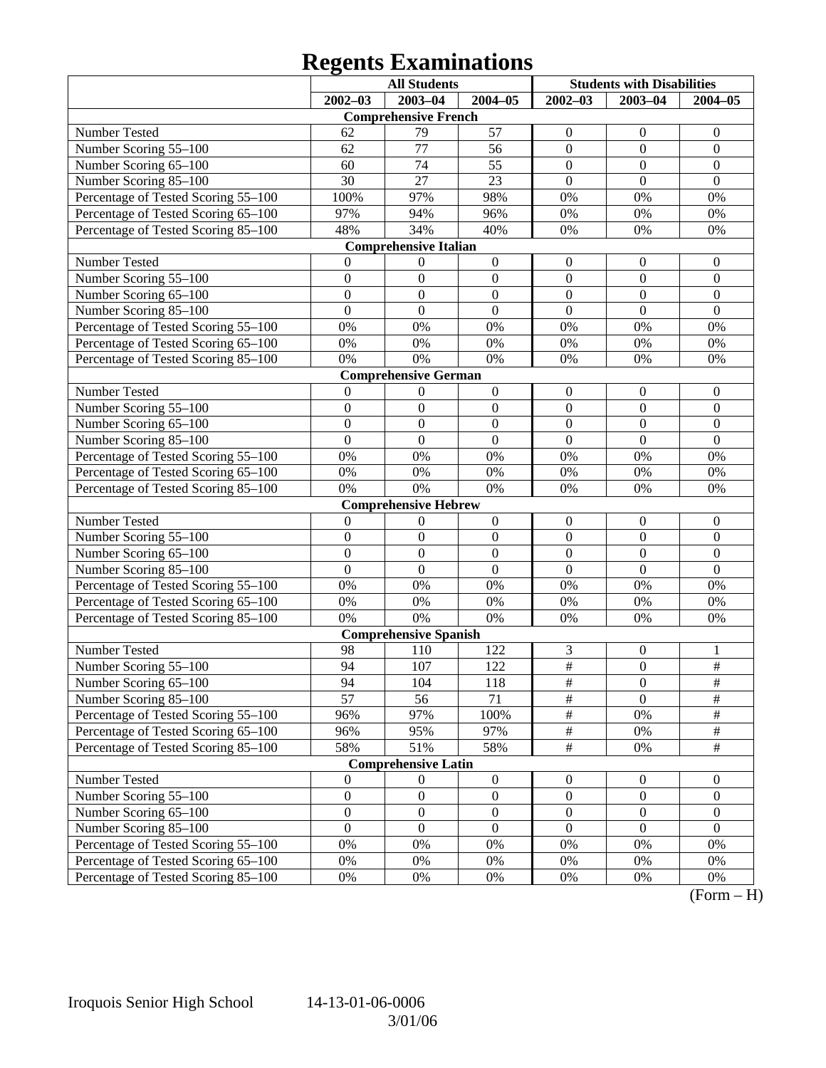# **Regents Examinations**

|                                     | <b>All Students</b> |                              |                  | <b>Students with Disabilities</b> |                  |                  |  |
|-------------------------------------|---------------------|------------------------------|------------------|-----------------------------------|------------------|------------------|--|
|                                     | $2002 - 03$         | $2003 - 04$                  | $2004 - 05$      | $2002 - 03$                       | $2003 - 04$      | $2004 - 05$      |  |
|                                     |                     | <b>Comprehensive French</b>  |                  |                                   |                  |                  |  |
| Number Tested                       | 62                  | 79                           | 57               | $\boldsymbol{0}$                  | $\boldsymbol{0}$ | $\mathbf{0}$     |  |
| Number Scoring 55-100               | 62                  | 77                           | 56               | $\boldsymbol{0}$                  | $\mathbf{0}$     | $\boldsymbol{0}$ |  |
| Number Scoring 65-100               | 60                  | 74                           | 55               | $\boldsymbol{0}$                  | $\mathbf{0}$     | $\boldsymbol{0}$ |  |
| Number Scoring 85-100               | 30                  | 27                           | 23               | $\boldsymbol{0}$                  | $\mathbf{0}$     | $\mathbf{0}$     |  |
| Percentage of Tested Scoring 55-100 | 100%                | 97%                          | 98%              | 0%                                | 0%               | 0%               |  |
| Percentage of Tested Scoring 65-100 | 97%                 | 94%                          | 96%              | 0%                                | 0%               | 0%               |  |
| Percentage of Tested Scoring 85-100 | 48%                 | 34%                          | 40%              | 0%                                | 0%               | 0%               |  |
|                                     |                     | <b>Comprehensive Italian</b> |                  |                                   |                  |                  |  |
| Number Tested                       | 0                   | $\boldsymbol{0}$             | $\boldsymbol{0}$ | $\boldsymbol{0}$                  | $\boldsymbol{0}$ | $\mathbf{0}$     |  |
| Number Scoring 55-100               | $\boldsymbol{0}$    | $\boldsymbol{0}$             | $\boldsymbol{0}$ | $\boldsymbol{0}$                  | $\boldsymbol{0}$ | $\boldsymbol{0}$ |  |
| Number Scoring 65-100               | $\boldsymbol{0}$    | $\boldsymbol{0}$             | $\boldsymbol{0}$ | $\boldsymbol{0}$                  | $\overline{0}$   | $\boldsymbol{0}$ |  |
| Number Scoring 85-100               | $\overline{0}$      | $\boldsymbol{0}$             | $\mathbf{0}$     | $\mathbf{0}$                      | $\mathbf{0}$     | $\boldsymbol{0}$ |  |
| Percentage of Tested Scoring 55-100 | 0%                  | 0%                           | 0%               | 0%                                | 0%               | 0%               |  |
| Percentage of Tested Scoring 65-100 | 0%                  | 0%                           | $0\%$            | 0%                                | 0%               | 0%               |  |
| Percentage of Tested Scoring 85-100 | 0%                  | 0%                           | 0%               | 0%                                | 0%               | 0%               |  |
|                                     |                     | <b>Comprehensive German</b>  |                  |                                   |                  |                  |  |
| Number Tested                       | $\mathbf{0}$        | $\boldsymbol{0}$             | $\boldsymbol{0}$ | $\boldsymbol{0}$                  | $\boldsymbol{0}$ | $\mathbf{0}$     |  |
| Number Scoring 55-100               | $\boldsymbol{0}$    | $\boldsymbol{0}$             | $\boldsymbol{0}$ | $\boldsymbol{0}$                  | $\boldsymbol{0}$ | $\boldsymbol{0}$ |  |
| Number Scoring 65-100               | $\boldsymbol{0}$    | $\boldsymbol{0}$             | $\boldsymbol{0}$ | $\boldsymbol{0}$                  | $\overline{0}$   | $\boldsymbol{0}$ |  |
| Number Scoring 85-100               | $\overline{0}$      | $\boldsymbol{0}$             | $\mathbf{0}$     | $\mathbf{0}$                      | $\overline{0}$   | $\overline{0}$   |  |
| Percentage of Tested Scoring 55-100 | 0%                  | 0%                           | 0%               | 0%                                | 0%               | 0%               |  |
| Percentage of Tested Scoring 65-100 | 0%                  | 0%                           | $0\%$            | 0%                                | 0%               | 0%               |  |
| Percentage of Tested Scoring 85-100 | 0%                  | 0%                           | 0%               | 0%                                | 0%               | 0%               |  |
|                                     |                     | <b>Comprehensive Hebrew</b>  |                  |                                   |                  |                  |  |
| Number Tested                       | $\boldsymbol{0}$    | $\boldsymbol{0}$             | $\boldsymbol{0}$ | $\boldsymbol{0}$                  | $\boldsymbol{0}$ | $\mathbf{0}$     |  |
| Number Scoring 55-100               | $\boldsymbol{0}$    | $\boldsymbol{0}$             | $\boldsymbol{0}$ | $\boldsymbol{0}$                  | $\boldsymbol{0}$ | $\boldsymbol{0}$ |  |
| Number Scoring 65-100               | $\boldsymbol{0}$    | $\boldsymbol{0}$             | $\boldsymbol{0}$ | $\boldsymbol{0}$                  | $\overline{0}$   | $\boldsymbol{0}$ |  |
| Number Scoring 85-100               | $\overline{0}$      | $\boldsymbol{0}$             | $\mathbf{0}$     | $\overline{0}$                    | $\overline{0}$   | $\overline{0}$   |  |
| Percentage of Tested Scoring 55-100 | 0%                  | 0%                           | 0%               | 0%                                | 0%               | 0%               |  |
| Percentage of Tested Scoring 65-100 | 0%                  | 0%                           | $0\%$            | 0%                                | 0%               | 0%               |  |
| Percentage of Tested Scoring 85-100 | 0%                  | 0%                           | $0\%$            | 0%                                | 0%               | 0%               |  |
|                                     |                     | <b>Comprehensive Spanish</b> |                  |                                   |                  |                  |  |
| Number Tested                       | 98                  | 110                          | 122              | 3                                 | $\boldsymbol{0}$ | 1                |  |
| Number Scoring 55-100               | 94                  | 107                          | 122              | $\overline{\#}$                   | $\mathbf{0}$     | $\overline{\#}$  |  |
| Number Scoring 65-100               | 94                  | 104                          | 118              | #                                 | $\boldsymbol{0}$ | #                |  |
| Number Scoring 85-100               | $\overline{57}$     | 56                           | 71               | $\overline{\#}$                   | $\overline{0}$   | $\overline{\#}$  |  |
| Percentage of Tested Scoring 55-100 | 96%                 | 97%                          | 100%             | $\overline{\#}$                   | 0%               | $\#$             |  |
| Percentage of Tested Scoring 65-100 | 96%                 | 95%                          | 97%              | $\frac{1}{2}$                     | 0%               | $\frac{1}{2}$    |  |
| Percentage of Tested Scoring 85-100 | 58%                 | 51%                          | 58%              | $\overline{\#}$                   | 0%               | $\overline{\#}$  |  |
|                                     |                     | <b>Comprehensive Latin</b>   |                  |                                   |                  |                  |  |
| Number Tested                       | $\boldsymbol{0}$    | $\boldsymbol{0}$             | $\boldsymbol{0}$ | $\boldsymbol{0}$                  | $\mathbf{0}$     | $\overline{0}$   |  |
| Number Scoring 55-100               | $\boldsymbol{0}$    | $\boldsymbol{0}$             | $\boldsymbol{0}$ | $\boldsymbol{0}$                  | $\boldsymbol{0}$ | $\boldsymbol{0}$ |  |
| Number Scoring 65-100               | $\boldsymbol{0}$    | $\boldsymbol{0}$             | $\boldsymbol{0}$ | $\boldsymbol{0}$                  | $\boldsymbol{0}$ | $\boldsymbol{0}$ |  |
| Number Scoring 85-100               | $\boldsymbol{0}$    | $\boldsymbol{0}$             | $\boldsymbol{0}$ | $\boldsymbol{0}$                  | $\boldsymbol{0}$ | $\boldsymbol{0}$ |  |
| Percentage of Tested Scoring 55-100 | 0%                  | 0%                           | 0%               | 0%                                | 0%               | 0%               |  |
| Percentage of Tested Scoring 65-100 | 0%                  | 0%                           | 0%               | 0%                                | 0%               | 0%               |  |
| Percentage of Tested Scoring 85-100 | $0\%$               | 0%                           | 0%               | 0%                                | 0%               | 0%               |  |

 $(Form - H)$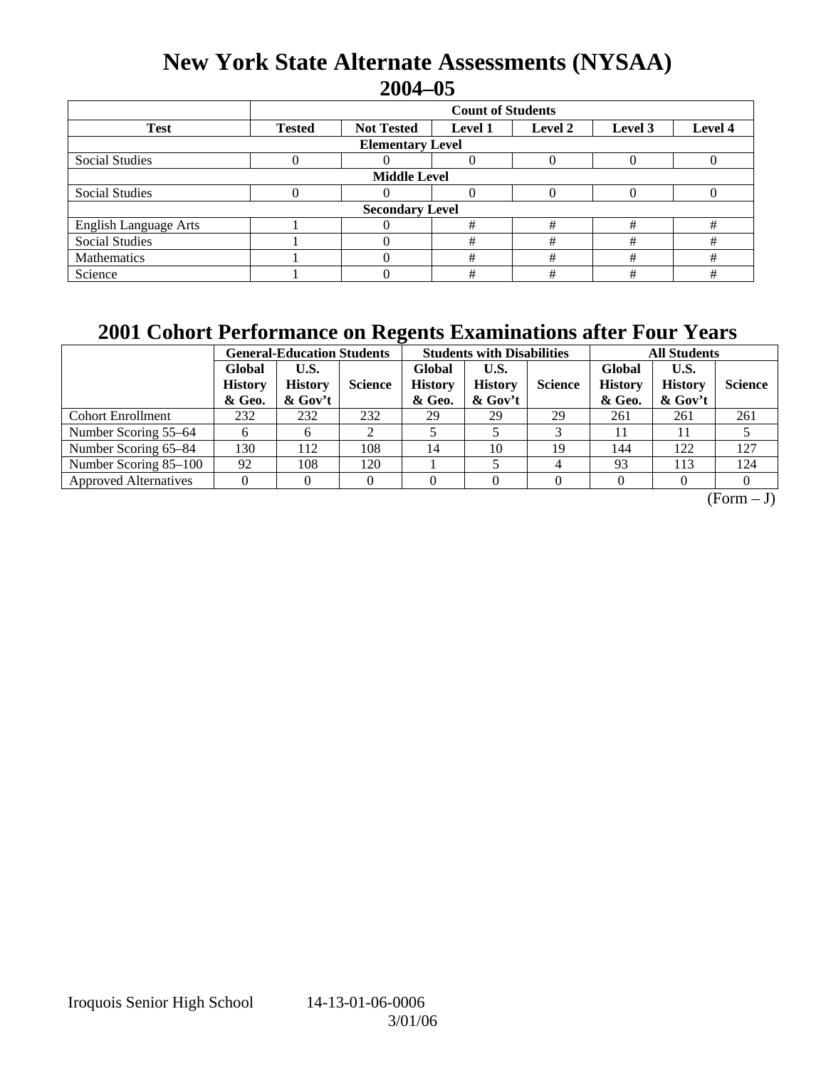## **New York State Alternate Assessments (NYSAA) 2004–05**

|                              | <b>Count of Students</b> |                        |                |         |         |         |  |  |  |  |  |
|------------------------------|--------------------------|------------------------|----------------|---------|---------|---------|--|--|--|--|--|
| <b>Test</b>                  | <b>Tested</b>            | <b>Not Tested</b>      | <b>Level 1</b> | Level 2 | Level 3 | Level 4 |  |  |  |  |  |
| <b>Elementary Level</b>      |                          |                        |                |         |         |         |  |  |  |  |  |
| <b>Social Studies</b>        |                          |                        | 0              |         |         |         |  |  |  |  |  |
| <b>Middle Level</b>          |                          |                        |                |         |         |         |  |  |  |  |  |
| <b>Social Studies</b>        |                          |                        | 0              |         |         |         |  |  |  |  |  |
|                              |                          | <b>Secondary Level</b> |                |         |         |         |  |  |  |  |  |
| <b>English Language Arts</b> |                          |                        | #              | #       | #       | #       |  |  |  |  |  |
| <b>Social Studies</b>        |                          |                        | #              | #       | #       | #       |  |  |  |  |  |
| Mathematics                  |                          |                        | #              | #       | #       | #       |  |  |  |  |  |
| Science                      |                          |                        | #              | #       | #       | #       |  |  |  |  |  |

## **2001 Cohort Performance on Regents Examinations after Four Years**

|                              | <b>General-Education Students</b>  |                                     |                |                                    | <b>Students with Disabilities</b>    |                | <b>All Students</b>                |                                      |                |
|------------------------------|------------------------------------|-------------------------------------|----------------|------------------------------------|--------------------------------------|----------------|------------------------------------|--------------------------------------|----------------|
|                              | Global<br><b>History</b><br>& Geo. | U.S.<br><b>History</b><br>$&$ Gov't | <b>Science</b> | Global<br><b>History</b><br>& Geo. | U.S.<br><b>History</b><br>$\&$ Gov't | <b>Science</b> | Global<br><b>History</b><br>& Geo. | U.S.<br><b>History</b><br>$\&$ Gov't | <b>Science</b> |
| <b>Cohort Enrollment</b>     | 232                                | 232                                 | 232            | 29                                 | 29                                   | 29             | 261                                | 261                                  | 261            |
| Number Scoring 55–64         |                                    | 6                                   | ◠              |                                    |                                      |                |                                    |                                      |                |
| Number Scoring 65-84         | 130                                | 112                                 | 108            | 14                                 | 10                                   | 19             | 144                                | 122                                  | 127            |
| Number Scoring 85-100        | 92                                 | 108                                 | 120            |                                    |                                      | 4              | 93                                 | 113                                  | 124            |
| <b>Approved Alternatives</b> |                                    |                                     | 0              |                                    |                                      |                |                                    |                                      |                |

 $\overline{(Form - J)}$